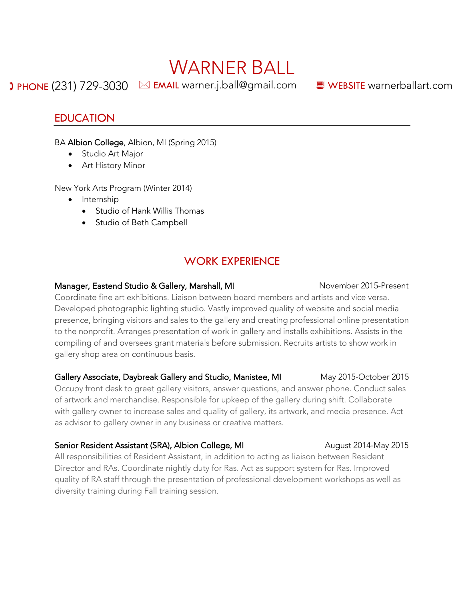# WARNER BALL

**) PHONE (231) 729-3030**  $\boxtimes$  EMAIL warner.j.ball@gmail.com **■ WEBSITE** warnerballart.com

### EDUCATION

### BA Albion College, Albion, MI (Spring 2015)

- Studio Art Major
- Art History Minor

New York Arts Program (Winter 2014)

- **Internship** 
	- Studio of Hank Willis Thomas
	- Studio of Beth Campbell

# WORK EXPERIENCE

### Manager, Eastend Studio & Gallery, Marshall, MI November 2015-Present

Coordinate fine art exhibitions. Liaison between board members and artists and vice versa. Developed photographic lighting studio. Vastly improved quality of website and social media presence, bringing visitors and sales to the gallery and creating professional online presentation to the nonprofit. Arranges presentation of work in gallery and installs exhibitions. Assists in the compiling of and oversees grant materials before submission. Recruits artists to show work in gallery shop area on continuous basis.

### Gallery Associate, Daybreak Gallery and Studio, Manistee, MI May 2015-October 2015

Occupy front desk to greet gallery visitors, answer questions, and answer phone. Conduct sales of artwork and merchandise. Responsible for upkeep of the gallery during shift. Collaborate with gallery owner to increase sales and quality of gallery, its artwork, and media presence. Act as advisor to gallery owner in any business or creative matters.

### Senior Resident Assistant (SRA), Albion College, MI August 2014-May 2015

All responsibilities of Resident Assistant, in addition to acting as liaison between Resident Director and RAs. Coordinate nightly duty for Ras. Act as support system for Ras. Improved quality of RA staff through the presentation of professional development workshops as well as diversity training during Fall training session.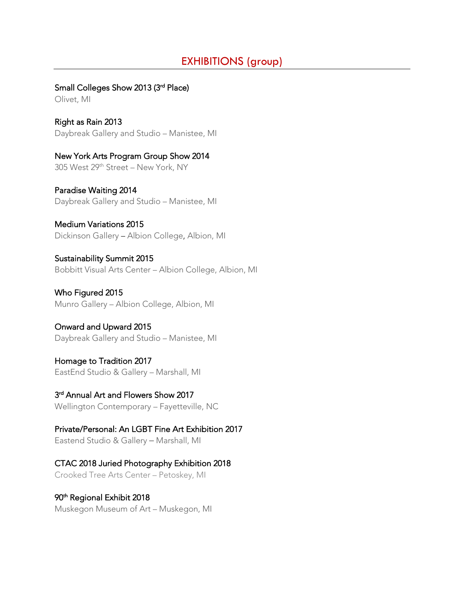## EXHIBITIONS (group)

Small Colleges Show 2013 (3<sup>rd</sup> Place) Olivet, MI

Right as Rain 2013 Daybreak Gallery and Studio – Manistee, MI

New York Arts Program Group Show 2014 305 West 29th Street – New York, NY

Paradise Waiting 2014 Daybreak Gallery and Studio – Manistee, MI

Medium Variations 2015 Dickinson Gallery – Albion College, Albion, MI

Sustainability Summit 2015 Bobbitt Visual Arts Center – Albion College, Albion, MI

Who Figured 2015 Munro Gallery – Albion College, Albion, MI

### Onward and Upward 2015 Daybreak Gallery and Studio – Manistee, MI

Homage to Tradition 2017

EastEnd Studio & Gallery – Marshall, MI

### 3<sup>rd</sup> Annual Art and Flowers Show 2017

Wellington Contemporary – Fayetteville, NC

# Private/Personal: An LGBT Fine Art Exhibition 2017

Eastend Studio & Gallery – Marshall, MI

CTAC 2018 Juried Photography Exhibition 2018 Crooked Tree Arts Center – Petoskey, MI

90<sup>th</sup> Regional Exhibit 2018 Muskegon Museum of Art – Muskegon, MI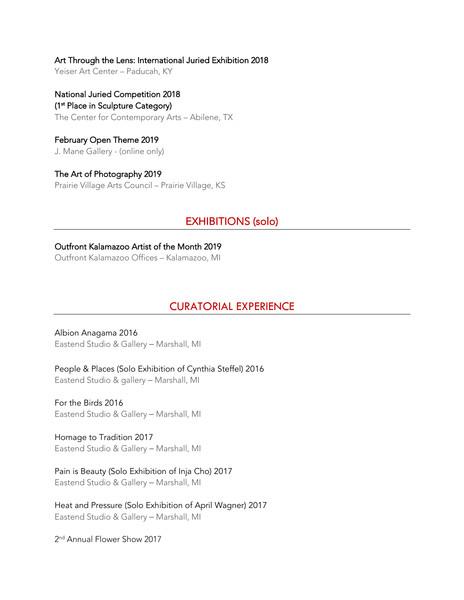Art Through the Lens: International Juried Exhibition 2018

Yeiser Art Center – Paducah, KY

National Juried Competition 2018 (1st Place in Sculpture Category) The Center for Contemporary Arts – Abilene, TX

February Open Theme 2019 J. Mane Gallery - (online only)

The Art of Photography 2019 Prairie Village Arts Council – Prairie Village, KS

# EXHIBITIONS (solo)

Outfront Kalamazoo Artist of the Month 2019 Outfront Kalamazoo Offices – Kalamazoo, MI

# CURATORIAL EXPERIENCE

Albion Anagama 2016 Eastend Studio & Gallery – Marshall, MI

People & Places (Solo Exhibition of Cynthia Steffel) 2016 Eastend Studio & gallery – Marshall, MI

For the Birds 2016 Eastend Studio & Gallery – Marshall, MI

Homage to Tradition 2017 Eastend Studio & Gallery – Marshall, MI

Pain is Beauty (Solo Exhibition of Inja Cho) 2017 Eastend Studio & Gallery – Marshall, MI

Heat and Pressure (Solo Exhibition of April Wagner) 2017 Eastend Studio & Gallery – Marshall, MI

2<sup>nd</sup> Annual Flower Show 2017